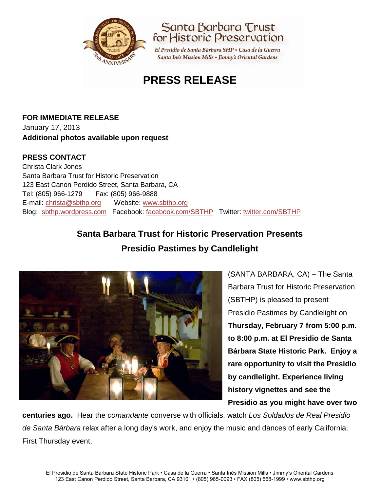



El Presidio de Santa Bárbara SHP · Casa de la Guerra Santa Inés Mission Mills • Jimmy's Oriental Gardens

# **PRESS RELEASE**

## **FOR IMMEDIATE RELEASE** January 17, 2013 **Additional photos available upon request**

## **PRESS CONTACT**

Christa Clark Jones Santa Barbara Trust for Historic Preservation 123 East Canon Perdido Street, Santa Barbara, CA Tel: (805) 966-1279 Fax: (805) 966-9888 E-mail: [christa@sbthp.org](mailto:christa@sbthp.org) Website: [www.sbthp.org](http://www.sbthp.org/) Blog: [sbthp.wordpress.com](http://sbthp.wordpress.com/) Facebook: [facebook.com/SBTHP](http://www.facebook.com/SBTHP) Twitter: [twitter.com/SBTHP](http://twitter.com/SBTHP)

# **Santa Barbara Trust for Historic Preservation Presents Presidio Pastimes by Candlelight**



(SANTA BARBARA, CA) – The Santa Barbara Trust for Historic Preservation (SBTHP) is pleased to present Presidio Pastimes by Candlelight on **Thursday, February 7 from 5:00 p.m. to 8:00 p.m. at El Presidio de Santa Bárbara State Historic Park. Enjoy a rare opportunity to visit the Presidio by candlelight. Experience living history vignettes and see the Presidio as you might have over two** 

**centuries ago.** Hear the *comandante* converse with officials, watch *Los Soldados de Real Presidio de Santa Bárbara* relax after a long day's work, and enjoy the music and dances of early California. First Thursday event.